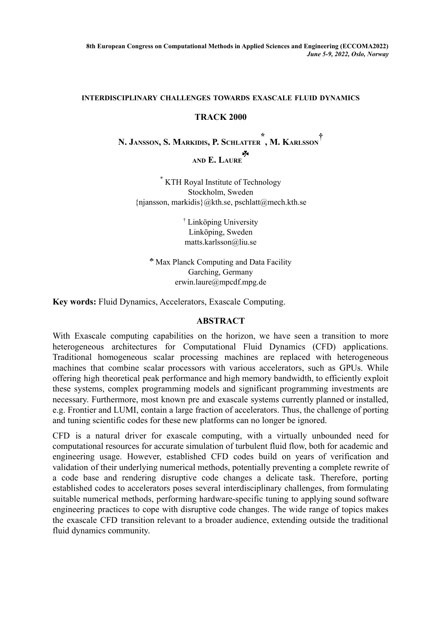## **INTERDISCIPLINARY CHALLENGES TOWARDS EXASCALE FLUID DYNAMICS**

## **TRACK 2000**

**N. JANSSON, S. MARKIDIS, P. SCHLATTER \* , M. KARLSSON † AND E. LAURE** ☘

\* KTH Royal Institute of Technology Stockholm, Sweden {njansson, markidis}@kth.se, pschlatt@mech.kth.se

> † Linköping University Linköping, Sweden matts.karlsson@liu.se

☘ Max Planck Computing and Data Facility Garching, Germany erwin.laure@mpcdf.mpg.de

**Key words:** Fluid Dynamics, Accelerators, Exascale Computing.

## **ABSTRACT**

With Exascale computing capabilities on the horizon, we have seen a transition to more heterogeneous architectures for Computational Fluid Dynamics (CFD) applications. Traditional homogeneous scalar processing machines are replaced with heterogeneous machines that combine scalar processors with various accelerators, such as GPUs. While offering high theoretical peak performance and high memory bandwidth, to efficiently exploit these systems, complex programming models and significant programming investments are necessary. Furthermore, most known pre and exascale systems currently planned or installed, e.g. Frontier and LUMI, contain a large fraction of accelerators. Thus, the challenge of porting and tuning scientific codes for these new platforms can no longer be ignored.

CFD is a natural driver for exascale computing, with a virtually unbounded need for computational resources for accurate simulation of turbulent fluid flow, both for academic and engineering usage. However, established CFD codes build on years of verification and validation of their underlying numerical methods, potentially preventing a complete rewrite of a code base and rendering disruptive code changes a delicate task. Therefore, porting established codes to accelerators poses several interdisciplinary challenges, from formulating suitable numerical methods, performing hardware-specific tuning to applying sound software engineering practices to cope with disruptive code changes. The wide range of topics makes the exascale CFD transition relevant to a broader audience, extending outside the traditional fluid dynamics community.